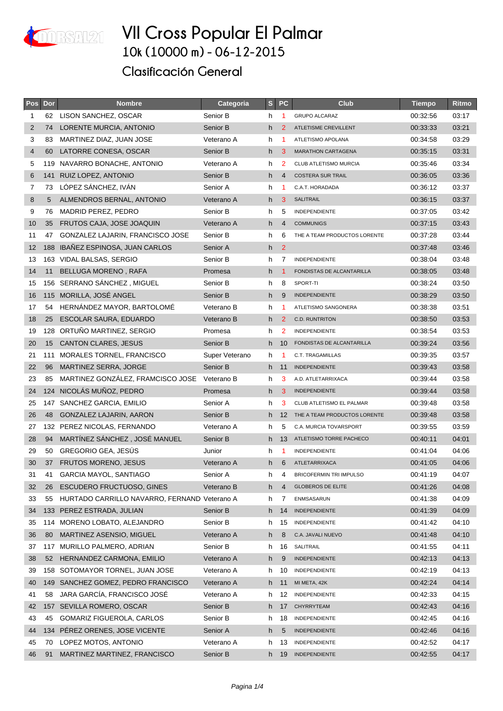

| Pos            | Dor | <b>Nombre</b>                                | Categoria      | S    | <b>PC</b>      | <b>Club</b>                    | <b>Tiempo</b> | Ritmo |
|----------------|-----|----------------------------------------------|----------------|------|----------------|--------------------------------|---------------|-------|
| 1              |     | 62 LISON SANCHEZ, OSCAR                      | Senior B       | h.   | $\overline{1}$ | <b>GRUPO ALCARAZ</b>           | 00:32:56      | 03:17 |
| $\overline{2}$ | 74  | LORENTE MURCIA, ANTONIO                      | Senior B       | h.   | 2              | ATLETISME CREVILLENT           | 00:33:33      | 03:21 |
| 3              | 83  | MARTINEZ DIAZ, JUAN JOSE                     | Veterano A     | h.   | 1              | ATLETISMO APOLANA              | 00:34:58      | 03:29 |
| $\overline{4}$ | 60  | LATORRE CONESA, OSCAR                        | Senior B       | h.   | 3              | <b>MARATHON CARTAGENA</b>      | 00:35:15      | 03:31 |
| 5              |     | 119 NAVARRO BONACHE, ANTONIO                 | Veterano A     | h    | 2              | <b>CLUB ATLETISMO MURCIA</b>   | 00:35:46      | 03:34 |
| 6              |     | 141 RUIZ LOPEZ, ANTONIO                      | Senior B       | h.   | $\overline{4}$ | <b>COSTERA SUR TRAIL</b>       | 00:36:05      | 03:36 |
| 7              | 73  | LÓPEZ SÁNCHEZ, IVÁN                          | Senior A       | h    | 1              | C.A.T. HORADADA                | 00:36:12      | 03:37 |
| 8              | 5   | ALMENDROS BERNAL, ANTONIO                    | Veterano A     | h    | 3              | <b>SALITRAIL</b>               | 00:36:15      | 03:37 |
| 9              | 76  | MADRID PEREZ, PEDRO                          | Senior B       | h.   | 5              | INDEPENDIENTE                  | 00:37:05      | 03:42 |
| 10             | 35  | FRUTOS CAJA, JOSE JOAQUIN                    | Veterano A     | h    | 4              | <b>COMMUNIGS</b>               | 00:37:15      | 03:43 |
| 11             | 47  | GONZALEZ LAJARIN, FRANCISCO JOSE             | Senior B       | h    | 6              | THE A TEAM PRODUCTOS LORENTE   | 00:37:28      | 03:44 |
| 12             |     | 188 IBAÑEZ ESPINOSA, JUAN CARLOS             | Senior A       | h.   | $\overline{2}$ |                                | 00:37:48      | 03:46 |
| 13             |     | 163 VIDAL BALSAS, SERGIO                     | Senior B       | h.   | 7              | INDEPENDIENTE                  | 00:38:04      | 03:48 |
| 14             | 11  | <b>BELLUGA MORENO, RAFA</b>                  | Promesa        | h.   | $\mathbf{1}$   | FONDISTAS DE ALCANTARILLA      | 00:38:05      | 03:48 |
| 15             |     | 156 SERRANO SÁNCHEZ, MIGUEL                  | Senior B       | h    | 8              | SPORT-TI                       | 00:38:24      | 03:50 |
| 16             |     | 115 MORILLA, JOSÉ ANGEL                      | Senior B       | h    | 9              | <b>INDEPENDIENTE</b>           | 00:38:29      | 03:50 |
| 17             | 54  | HERNÁNDEZ MAYOR, BARTOLOMÉ                   | Veterano B     | h.   | -1             | ATLETISMO SANGONERA            | 00:38:38      | 03:51 |
| 18             | 25  | ESCOLAR SAURA, EDUARDO                       | Veterano B     | h.   | $\overline{2}$ | C.D. RUNTRITON                 | 00:38:50      | 03:53 |
| 19             |     | 128 ORTUÑO MARTINEZ, SERGIO                  | Promesa        | h.   | 2              | <b>INDEPENDIENTE</b>           | 00:38:54      | 03:53 |
| 20             | 15  | <b>CANTON CLARES, JESUS</b>                  | Senior B       | h -  | 10             | FONDISTAS DE ALCANTARILLA      | 00:39:24      | 03:56 |
| 21             | 111 | MORALES TORNEL, FRANCISCO                    | Super Veterano | h    | -1             | C.T. TRAGAMILLAS               | 00:39:35      | 03:57 |
| 22             | 96  | MARTINEZ SERRA, JORGE                        | Senior B       | h 11 |                | <b>INDEPENDIENTE</b>           | 00:39:43      | 03:58 |
| 23             | 85  | MARTINEZ GONZÁLEZ, FRAMCISCO JOSE            | Veterano B     | h.   | 3              | A.D. ATLETARRIXACA             | 00:39:44      | 03:58 |
| 24             |     | 124 NICOLÁS MUÑOZ, PEDRO                     | Promesa        | h.   | 3              | <b>INDEPENDIENTE</b>           | 00:39:44      | 03:58 |
| 25             |     | 147 SANCHEZ GARCIA, EMILIO                   | Senior A       | h    | 3              | CLUB ATLETISMO EL PALMAR       | 00:39:48      | 03:58 |
| 26             | 48  | GONZALEZ LAJARIN, AARON                      | Senior B       | h.   | 12             | THE A TEAM PRODUCTOS LORENTE   | 00:39:48      | 03:58 |
| 27             |     | 132 PEREZ NICOLAS, FERNANDO                  | Veterano A     | h.   | 5              | C.A. MURCIA TOVARSPORT         | 00:39:55      | 03:59 |
| 28             | 94  | MARTÍNEZ SÁNCHEZ, JOSÉ MANUEL                | Senior B       |      | h 13           | ATLETISMO TORRE PACHECO        | 00:40:11      | 04:01 |
| 29             | 50  | <b>GREGORIO GEA, JESUS</b>                   | Junior         | h    | $\mathbf{1}$   | INDEPENDIENTE                  | 00:41:04      | 04:06 |
| 30             | 37  | FRUTOS MORENO, JESUS                         | Veterano A     | h.   | 6              | ATLETARRIXACA                  | 00:41:05      | 04:06 |
| 31             | 41  | GARCIA MAYOL, SANTIAGO                       | Senior A       | h.   | 4              | <b>BRICOFERMIN TRI IMPULSO</b> | 00:41:19      | 04:07 |
| 32             | 26  | <b>ESCUDERO FRUCTUOSO, GINES</b>             | Veterano B     | h.   | 4              | <b>GLOBEROS DE ELITE</b>       | 00:41:26      | 04:08 |
| 33             | 55  | HURTADO CARRILLO NAVARRO, FERNAND Veterano A |                | h    | 7              | ENMSASARUN                     | 00:41:38      | 04:09 |
| 34             |     | 133 PEREZ ESTRADA, JULIAN                    | Senior B       | h.   | 14             | <b>INDEPENDIENTE</b>           | 00:41:39      | 04:09 |
| 35             | 114 | MORENO LOBATO, ALEJANDRO                     | Senior B       | h.   | 15             | INDEPENDIENTE                  | 00:41:42      | 04:10 |
| 36             | 80  | <b>MARTINEZ ASENSIO, MIGUEL</b>              | Veterano A     | h    | 8              | C.A. JAVALI NUEVO              | 00:41:48      | 04:10 |
| 37             |     | 117 MURILLO PALMERO, ADRIAN                  | Senior B       | h.   | 16             | SALITRAIL                      | 00:41:55      | 04:11 |
| 38             | 52  | HERNANDEZ CARMONA, EMILIO                    | Veterano A     | h    | 9              | <b>INDEPENDIENTE</b>           | 00:42:13      | 04:13 |
| 39             |     | 158 SOTOMAYOR TORNEL, JUAN JOSE              | Veterano A     | h    | 10             | INDEPENDIENTE                  | 00:42:19      | 04:13 |
| 40             |     | 149 SANCHEZ GOMEZ, PEDRO FRANCISCO           | Veterano A     | h.   | 11             | MI META, 42K                   | 00:42:24      | 04:14 |
| 41             | 58  | JARA GARCÍA, FRANCISCO JOSÉ                  | Veterano A     | h    | 12             | INDEPENDIENTE                  | 00:42:33      | 04:15 |
| 42             |     | 157 SEVILLA ROMERO, OSCAR                    | Senior B       |      | h 17           | CHYRRYTEAM                     | 00:42:43      | 04:16 |
| 43             | 45  | GOMARIZ FIGUEROLA, CARLOS                    | Senior B       | h.   | 18             | INDEPENDIENTE                  | 00:42:45      | 04:16 |
| 44             |     | 134 PEREZ ORENES, JOSE VICENTE               | Senior A       | h    | 5              | <b>INDEPENDIENTE</b>           | 00:42:46      | 04:16 |
| 45             | 70  | LOPEZ MOTOS, ANTONIO                         | Veterano A     | h.   | 13             | INDEPENDIENTE                  | 00:42:52      | 04:17 |
| 46             | 91  | MARTINEZ MARTINEZ, FRANCISCO                 | Senior B       |      | h 19           | INDEPENDIENTE                  | 00:42:55      | 04:17 |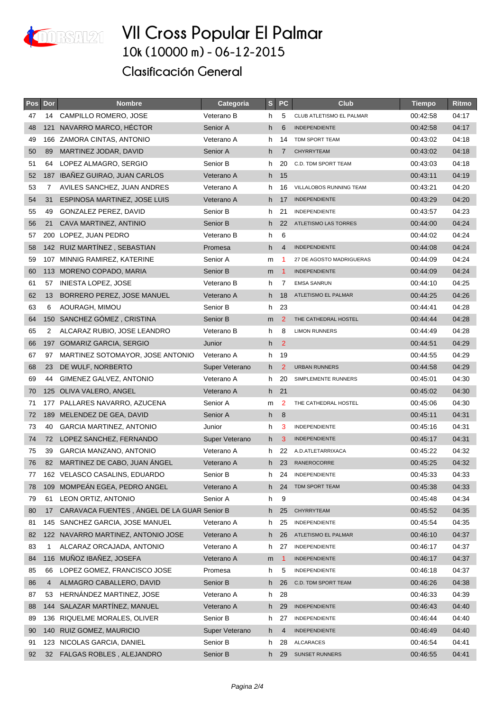

| Pos | Dor            | <b>Nombre</b>                               | Categoria      | S  | <b>PC</b>      | <b>Club</b>                 | <b>Tiempo</b> | Ritmo |
|-----|----------------|---------------------------------------------|----------------|----|----------------|-----------------------------|---------------|-------|
| 47  | 14             | CAMPILLO ROMERO, JOSE                       | Veterano B     | h. | 5              | CLUB ATLETISMO EL PALMAR    | 00:42:58      | 04:17 |
| 48  | 121            | NAVARRO MARCO, HÉCTOR                       | Senior A       | h  | 6              | <b>INDEPENDIENTE</b>        | 00:42:58      | 04:17 |
| 49  |                | 166 ZAMORA CINTAS, ANTONIO                  | Veterano A     | h. | 14             | TDM SPORT TEAM              | 00:43:02      | 04:18 |
| 50  | 89             | MARTINEZ JODAR, DAVID                       | Senior A       | h. | $\overline{7}$ | <b>CHYRRYTEAM</b>           | 00:43:02      | 04:18 |
| 51  | 64             | LOPEZ ALMAGRO, SERGIO                       | Senior B       | h  | 20             | C.D. TDM SPORT TEAM         | 00:43:03      | 04:18 |
| 52  |                | 187 IBAÑEZ GUIRAO, JUAN CARLOS              | Veterano A     | h. | 15             |                             | 00:43:11      | 04:19 |
| 53  | 7              | AVILES SANCHEZ, JUAN ANDRES                 | Veterano A     | h. | 16             | VILLALOBOS RUNNING TEAM     | 00:43:21      | 04:20 |
| 54  | 31             | ESPINOSA MARTINEZ, JOSE LUIS                | Veterano A     | h. | 17             | <b>INDEPENDIENTE</b>        | 00:43:29      | 04:20 |
| 55  | 49             | <b>GONZALEZ PEREZ, DAVID</b>                | Senior B       | h. | 21             | INDEPENDIENTE               | 00:43:57      | 04:23 |
| 56  | 21             | CAVA MARTINEZ, ANTINIO                      | Senior B       | h. | 22             | <b>ATLETISMO LAS TORRES</b> | 00:44:00      | 04:24 |
| 57  |                | 200 LOPEZ, JUAN PEDRO                       | Veterano B     | h. | 6              |                             | 00:44:02      | 04:24 |
| 58  |                | 142 RUIZ MARTINEZ, SEBASTIAN                | Promesa        | h. | 4              | <b>INDEPENDIENTE</b>        | 00:44:08      | 04:24 |
| 59  |                | 107 MINNIG RAMIREZ, KATERINE                | Senior A       | m  | 1              | 27 DE AGOSTO MADRIGUERAS    | 00:44:09      | 04:24 |
| 60  |                | 113 MORENO COPADO, MARIA                    | Senior B       | m  | -1             | <b>INDEPENDIENTE</b>        | 00:44:09      | 04:24 |
| 61  | 57             | <b>INIESTA LOPEZ, JOSE</b>                  | Veterano B     | h  | 7              | <b>EMSA SANRUN</b>          | 00:44:10      | 04:25 |
| 62  | 13             | BORRERO PEREZ, JOSE MANUEL                  | Veterano A     | h. | 18             | ATLETISMO EL PALMAR         | 00:44:25      | 04:26 |
| 63  | 6              | AOURAGH, MIMOU                              | Senior B       |    | h 23           |                             | 00:44:41      | 04:28 |
| 64  |                | 150 SANCHEZ GÓMEZ, CRISTINA                 | Senior B       | m  | $\overline{2}$ | THE CATHEDRAL HOSTEL        | 00:44:44      | 04:28 |
| 65  | $\overline{2}$ | ALCARAZ RUBIO, JOSE LEANDRO                 | Veterano B     | h  | 8              | <b>LIMON RUNNERS</b>        | 00:44:49      | 04:28 |
| 66  |                | 197 GOMARIZ GARCIA, SERGIO                  | Junior         | h. | $\overline{2}$ |                             | 00:44:51      | 04:29 |
| 67  | 97             | MARTINEZ SOTOMAYOR, JOSE ANTONIO            | Veterano A     | h  | 19             |                             | 00:44:55      | 04:29 |
| 68  | 23             | DE WULF, NORBERTO                           | Super Veterano | h. | $\overline{2}$ | <b>URBAN RUNNERS</b>        | 00:44:58      | 04:29 |
| 69  | 44             | GIMENEZ GALVEZ, ANTONIO                     | Veterano A     | h  | 20             | SIMPLEMENTE RUNNERS         | 00:45:01      | 04:30 |
| 70  |                | 125 OLIVA VALERO, ANGEL                     | Veterano A     | h. | 21             |                             | 00:45:02      | 04:30 |
| 71  |                | 177 PALLARES NAVARRO, AZUCENA               | Senior A       | m  | 2              | THE CATHEDRAL HOSTEL        | 00:45:06      | 04:30 |
| 72  |                | 189 MELENDEZ DE GEA, DAVID                  | Senior A       | h  | 8              |                             | 00:45:11      | 04:31 |
| 73  | 40             | <b>GARCIA MARTINEZ, ANTONIO</b>             | Junior         | h  | 3              | INDEPENDIENTE               | 00:45:16      | 04:31 |
| 74  | 72             | LOPEZ SANCHEZ, FERNANDO                     | Super Veterano | h. | 3              | <b>INDEPENDIENTE</b>        | 00:45:17      | 04:31 |
| 75  | 39             | GARCIA MANZANO, ANTONIO                     | Veterano A     | h. | 22             | A.D.ATLETARRIXACA           | 00:45:22      | 04:32 |
| 76  | 82             | MARTINEZ DE CABO, JUAN ANGEL                | Veterano A     |    | h 23           | <b>RANEROCORRE</b>          | 00:45:25      | 04:32 |
| 77  |                | 162 VELASCO CASALINS, EDUARDO               | Senior B       | h. |                | 24 INDEPENDIENTE            | 00:45:33      | 04:33 |
| 78  |                | 109 MOMPEAN EGEA, PEDRO ANGEL               | Veterano A     |    | h 24           | TDM SPORT TEAM              | 00:45:38      | 04:33 |
| 79  | 61             | LEON ORTIZ, ANTONIO                         | Senior A       | h. | 9              |                             | 00:45:48      | 04:34 |
| 80  | 17             | CARAVACA FUENTES, ÁNGEL DE LA GUAR Senior B |                | h  | 25             | <b>CHYRRYTEAM</b>           | 00:45:52      | 04:35 |
| 81  |                | 145 SANCHEZ GARCIA, JOSE MANUEL             | Veterano A     | h  | 25             | INDEPENDIENTE               | 00:45:54      | 04:35 |
| 82  |                | 122 NAVARRO MARTINEZ, ANTONIO JOSE          | Veterano A     |    | h 26           | ATLETISMO EL PALMAR         | 00:46:10      | 04:37 |
| 83  | $\mathbf 1$    | ALCARAZ ORCAJADA, ANTONIO                   | Veterano A     | h. | 27             | <b>INDEPENDIENTE</b>        | 00:46:17      | 04:37 |
| 84  |                | 116 MUÑOZ IBAÑEZ, JOSEFA                    | Veterano A     | m  | $\overline{1}$ | <b>INDEPENDIENTE</b>        | 00:46:17      | 04:37 |
| 85  | 66             | LOPEZ GOMEZ, FRANCISCO JOSE                 | Promesa        | h. | 5              | INDEPENDIENTE               | 00:46:18      | 04:37 |
| 86  | $\overline{4}$ | ALMAGRO CABALLERO, DAVID                    | Senior B       | h  | 26             | C.D. TDM SPORT TEAM         | 00:46:26      | 04:38 |
| 87  | 53             | HERNÁNDEZ MARTINEZ, JOSE                    | Veterano A     | h  | 28             |                             | 00:46:33      | 04:39 |
| 88  |                | 144 SALAZAR MARTINEZ, MANUEL                | Veterano A     | h  | 29             | <b>INDEPENDIENTE</b>        | 00:46:43      | 04:40 |
| 89  |                | 136 RIQUELME MORALES, OLIVER                | Senior B       | h. | 27             | <b>INDEPENDIENTE</b>        | 00:46:44      | 04:40 |
| 90  |                | 140 RUIZ GOMEZ, MAURICIO                    | Super Veterano | h  | 4              | INDEPENDIENTE               | 00:46:49      | 04:40 |
| 91  |                | 123 NICOLAS GARCIA, DANIEL                  | Senior B       | h. | 28             | <b>ALCARACES</b>            | 00:46:54      | 04:41 |
| 92  |                | 32 FALGAS ROBLES, ALEJANDRO                 | Senior B       | h  | 29             | <b>SUNSET RUNNERS</b>       | 00:46:55      | 04:41 |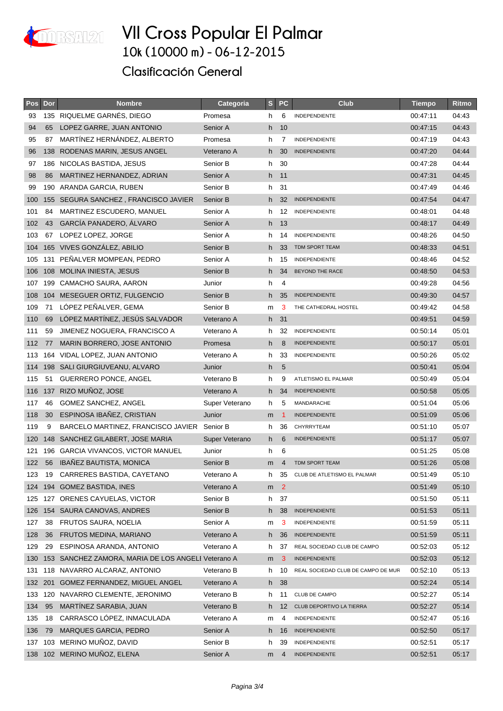

| <b>Pos</b> | Dor | <b>Nombre</b>                                      | Categoria      | S  | <b>PC</b>      | Club                               | <b>Tiempo</b> | Ritmo |
|------------|-----|----------------------------------------------------|----------------|----|----------------|------------------------------------|---------------|-------|
| 93         |     | 135 RIQUELME GARNÉS, DIEGO                         | Promesa        | h  | 6              | <b>INDEPENDIENTE</b>               | 00:47:11      | 04:43 |
| 94         | 65  | LOPEZ GARRE, JUAN ANTONIO                          | Senior A       | h  | 10             |                                    | 00:47:15      | 04:43 |
| 95         | 87  | MARTÍNEZ HERNÁNDEZ, ALBERTO                        | Promesa        | h  | 7              | <b>INDEPENDIENTE</b>               | 00:47:19      | 04:43 |
| 96         |     | 138 RODENAS MARIN, JESUS ANGEL                     | Veterano A     | h. | 30             | <b>INDEPENDIENTE</b>               | 00:47:20      | 04:44 |
| 97         |     | 186 NICOLAS BASTIDA, JESUS                         | Senior B       | h  | 30             |                                    | 00:47:28      | 04:44 |
| 98         | 86  | MARTINEZ HERNANDEZ, ADRIAN                         | Senior A       |    | h 11           |                                    | 00:47:31      | 04:45 |
| 99         | 190 | ARANDA GARCIA, RUBEN                               | Senior B       | h. | 31             |                                    | 00:47:49      | 04:46 |
| 100        |     | 155 SEGURA SANCHEZ, FRANCISCO JAVIER               | Senior B       | h. | 32             | <b>INDEPENDIENTE</b>               | 00:47:54      | 04:47 |
| 101        | 84  | MARTINEZ ESCUDERO, MANUEL                          | Senior A       | h  | 12             | <b>INDEPENDIENTE</b>               | 00:48:01      | 04:48 |
| 102        | 43  | GARCÍA PANADERO, ÁLVARO                            | Senior A       | h  | 13             |                                    | 00:48:17      | 04:49 |
| 103        | 67  | LOPEZ LOPEZ, JORGE                                 | Senior A       | h  | 14             | <b>INDEPENDIENTE</b>               | 00:48:26      | 04:50 |
| 104        |     | 165 VIVES GONZÁLEZ, ABILIO                         | Senior B       | h. | 33             | TDM SPORT TEAM                     | 00:48:33      | 04:51 |
| 105        |     | 131 PEÑALVER MOMPEAN, PEDRO                        | Senior A       | h  | 15             | <b>INDEPENDIENTE</b>               | 00:48:46      | 04:52 |
| 106        |     | 108 MOLINA INIESTA, JESUS                          | Senior B       | h  | -34            | BEYOND THE RACE                    | 00:48:50      | 04:53 |
| 107        | 199 | CAMACHO SAURA, AARON                               | Junior         | h  | 4              |                                    | 00:49:28      | 04:56 |
| 108        |     | 104 MESEGUER ORTIZ, FULGENCIO                      | Senior B       | h  | 35             | <b>INDEPENDIENTE</b>               | 00:49:30      | 04:57 |
| 109        | 71  | LÓPEZ PEÑALVER, GEMA                               | Senior B       | m  | 3              | THE CATHEDRAL HOSTEL               | 00:49:42      | 04:58 |
| 110        | 69  | LÓPEZ MARTÍNEZ, JESÚS SALVADOR                     | Veterano A     | h. | 31             |                                    | 00:49:51      | 04:59 |
| 111        | 59  | JIMENEZ NOGUERA, FRANCISCO A                       | Veterano A     | h  | 32             | <b>INDEPENDIENTE</b>               | 00:50:14      | 05:01 |
| 112        | 77  | MARIN BORRERO, JOSE ANTONIO                        | Promesa        | h  | 8              | <b>INDEPENDIENTE</b>               | 00:50:17      | 05:01 |
| 113        |     | 164 VIDAL LOPEZ, JUAN ANTONIO                      | Veterano A     | h. | 33             | <b>INDEPENDIENTE</b>               | 00:50:26      | 05:02 |
| 114        |     | 198 SALI GIURGIUVEANU, ALVARO                      | Junior         | h. | 5              |                                    | 00:50:41      | 05:04 |
| 115        | 51  | <b>GUERRERO PONCE, ANGEL</b>                       | Veterano B     | h  | 9              | ATLETISMO EL PALMAR                | 00:50:49      | 05:04 |
| 116        |     | 137 RIZO MUÑOZ, JOSE                               | Veterano A     | h. | 34             | <b>INDEPENDIENTE</b>               | 00:50:58      | 05:05 |
| 117        | 46  | <b>GOMEZ SANCHEZ, ANGEL</b>                        | Super Veterano | h. | 5              | MANDARACHE                         | 00:51:04      | 05:06 |
| 118        | 30  | ESPINOSA IBAÑEZ, CRISTIAN                          | Junior         | m  | -1             | <b>INDEPENDIENTE</b>               | 00:51:09      | 05:06 |
| 119        | 9   | BARCELO MARTINEZ, FRANCISCO JAVIER                 | Senior B       | h  | 36             | CHYRRYTEAM                         | 00:51:10      | 05:07 |
| 120        |     | 148 SANCHEZ GILABERT, JOSE MARIA                   | Super Veterano | h. | 6              | <b>INDEPENDIENTE</b>               | 00:51:17      | 05:07 |
| 121        |     | 196 GARCIA VIVANCOS, VICTOR MANUEL                 | Junior         | h. | 6              |                                    | 00:51:25      | 05:08 |
| 122        | 56  | IBAÑEZ BAUTISTA, MONICA                            | Senior B       | m  | $\overline{4}$ | TDM SPORT TEAM                     | 00:51:26      | 05:08 |
| 123        |     | 19 CARRERES BASTIDA, CAYETANO                      | Veterano A     | h  | 35             | CLUB DE ATLETISMO EL PALMAR        | 00:51:49      | 05:10 |
|            |     | 124 194 GOMEZ BASTIDA, INES                        | Veterano A     | m  | $\overline{2}$ |                                    | 00:51:49      | 05:10 |
|            |     | 125 127 ORENES CAYUELAS, VICTOR                    | Senior B       | h. | 37             |                                    | 00:51:50      | 05:11 |
| 126        |     | 154 SAURA CANOVAS, ANDRES                          | Senior B       | h. | 38             | <b>INDEPENDIENTE</b>               | 00:51:53      | 05:11 |
| 127        | 38  | FRUTOS SAURA, NOELIA                               | Senior A       | m  | 3              | <b>INDEPENDIENTE</b>               | 00:51:59      | 05:11 |
| 128        | 36  | FRUTOS MEDINA, MARIANO                             | Veterano A     |    | h 36           | <b>INDEPENDIENTE</b>               | 00:51:59      | 05:11 |
| 129        | 29  | ESPINOSA ARANDA, ANTONIO                           | Veterano A     | h. | 37             | REAL SOCIEDAD CLUB DE CAMPO        | 00:52:03      | 05:12 |
| 130        |     | 153 SANCHEZ ZAMORA, MARIA DE LOS ANGELI Veterano A |                | m  | 3              | <b>INDEPENDIENTE</b>               | 00:52:03      | 05:12 |
| 131        |     | 118 NAVARRO ALCARAZ, ANTONIO                       | Veterano B     | h  | 10             | REAL SOCIEDAD CLUB DE CAMPO DE MUR | 00:52:10      | 05:13 |
| 132        |     | 201 GOMEZ FERNANDEZ, MIGUEL ANGEL                  | Veterano A     | h  | 38             |                                    | 00:52:24      | 05:14 |
|            |     | 133 120 NAVARRO CLEMENTE, JERONIMO                 | Veterano B     | h  | 11             | CLUB DE CAMPO                      | 00:52:27      | 05:14 |
| 134        | 95  | MARTINEZ SARABIA, JUAN                             | Veterano B     | h. | 12             | CLUB DEPORTIVO LA TIERRA           | 00:52:27      | 05:14 |
| 135        | 18  | CARRASCO LOPEZ, INMACULADA                         | Veterano A     | m  | 4              | <b>INDEPENDIENTE</b>               | 00:52:47      | 05:16 |
| 136        | 79  | <b>MARQUES GARCIA, PEDRO</b>                       | Senior A       | h  | 16             | <b>INDEPENDIENTE</b>               | 00:52:50      | 05:17 |
| 137        | 103 | MERINO MUÑOZ, DAVID                                | Senior B       | h  | 39             | <b>INDEPENDIENTE</b>               | 00:52:51      | 05:17 |
|            |     | 138 102 MERINO MUÑOZ, ELENA                        | Senior A       | m  | $\overline{4}$ | <b>INDEPENDIENTE</b>               | 00:52:51      | 05:17 |